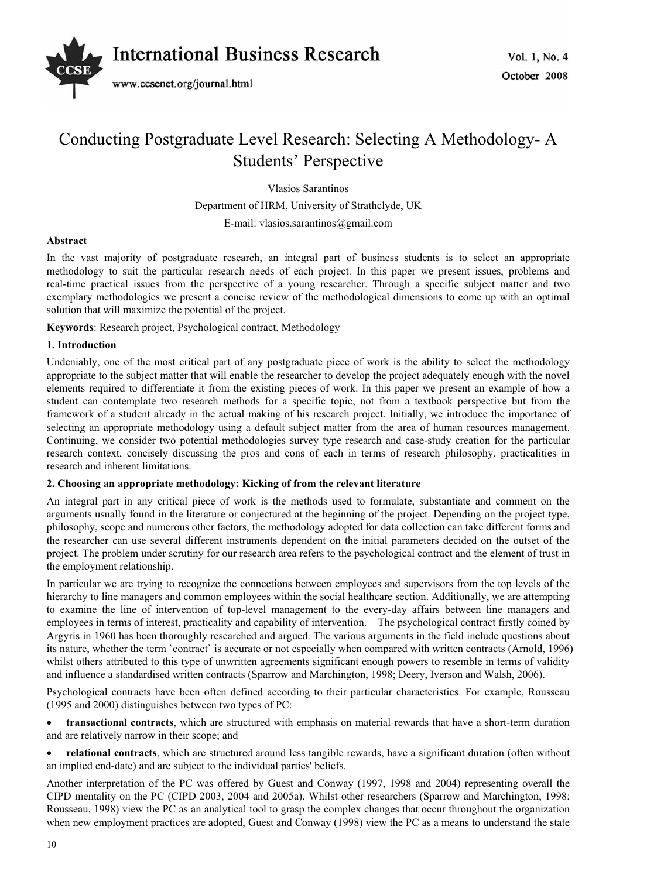

# Conducting Postgraduate Level Research: Selecting A Methodology- A Students' Perspective

Vlasios Sarantinos

Department of HRM, University of Strathclyde, UK

E-mail: vlasios.sarantinos@gmail.com

## **Abstract**

In the vast majority of postgraduate research, an integral part of business students is to select an appropriate methodology to suit the particular research needs of each project. In this paper we present issues, problems and real-time practical issues from the perspective of a young researcher. Through a specific subject matter and two exemplary methodologies we present a concise review of the methodological dimensions to come up with an optimal solution that will maximize the potential of the project.

**Keywords**: Research project, Psychological contract, Methodology

# **1. Introduction**

Undeniably, one of the most critical part of any postgraduate piece of work is the ability to select the methodology appropriate to the subject matter that will enable the researcher to develop the project adequately enough with the novel elements required to differentiate it from the existing pieces of work. In this paper we present an example of how a student can contemplate two research methods for a specific topic, not from a textbook perspective but from the framework of a student already in the actual making of his research project. Initially, we introduce the importance of selecting an appropriate methodology using a default subject matter from the area of human resources management. Continuing, we consider two potential methodologies survey type research and case-study creation for the particular research context, concisely discussing the pros and cons of each in terms of research philosophy, practicalities in research and inherent limitations.

## **2. Choosing an appropriate methodology: Kicking of from the relevant literature**

An integral part in any critical piece of work is the methods used to formulate, substantiate and comment on the arguments usually found in the literature or conjectured at the beginning of the project. Depending on the project type, philosophy, scope and numerous other factors, the methodology adopted for data collection can take different forms and the researcher can use several different instruments dependent on the initial parameters decided on the outset of the project. The problem under scrutiny for our research area refers to the psychological contract and the element of trust in the employment relationship.

In particular we are trying to recognize the connections between employees and supervisors from the top levels of the hierarchy to line managers and common employees within the social healthcare section. Additionally, we are attempting to examine the line of intervention of top-level management to the every-day affairs between line managers and employees in terms of interest, practicality and capability of intervention. The psychological contract firstly coined by Argyris in 1960 has been thoroughly researched and argued. The various arguments in the field include questions about its nature, whether the term `contract` is accurate or not especially when compared with written contracts (Arnold, 1996) whilst others attributed to this type of unwritten agreements significant enough powers to resemble in terms of validity and influence a standardised written contracts (Sparrow and Marchington, 1998; Deery, Iverson and Walsh, 2006).

Psychological contracts have been often defined according to their particular characteristics. For example, Rousseau (1995 and 2000) distinguishes between two types of PC:

**• transactional contracts**, which are structured with emphasis on material rewards that have a short-term duration and are relatively narrow in their scope; and

**•** relational contracts, which are structured around less tangible rewards, have a significant duration (often without an implied end-date) and are subject to the individual parties' beliefs.

Another interpretation of the PC was offered by Guest and Conway (1997, 1998 and 2004) representing overall the CIPD mentality on the PC (CIPD 2003, 2004 and 2005a). Whilst other researchers (Sparrow and Marchington, 1998; Rousseau, 1998) view the PC as an analytical tool to grasp the complex changes that occur throughout the organization when new employment practices are adopted, Guest and Conway (1998) view the PC as a means to understand the state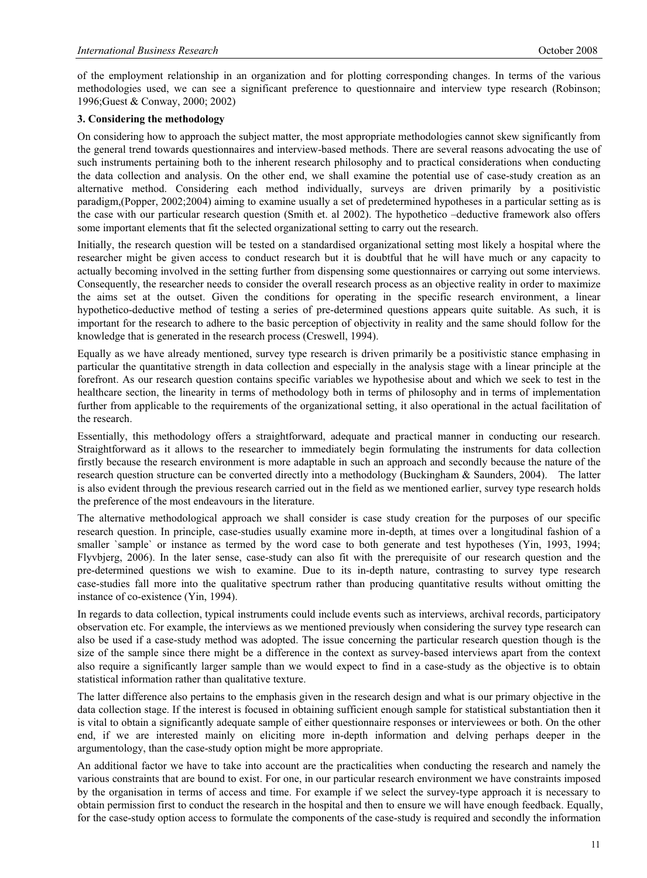of the employment relationship in an organization and for plotting corresponding changes. In terms of the various methodologies used, we can see a significant preference to questionnaire and interview type research (Robinson; 1996;Guest & Conway, 2000; 2002)

#### **3. Considering the methodology**

On considering how to approach the subject matter, the most appropriate methodologies cannot skew significantly from the general trend towards questionnaires and interview-based methods. There are several reasons advocating the use of such instruments pertaining both to the inherent research philosophy and to practical considerations when conducting the data collection and analysis. On the other end, we shall examine the potential use of case-study creation as an alternative method. Considering each method individually, surveys are driven primarily by a positivistic paradigm,(Popper, 2002;2004) aiming to examine usually a set of predetermined hypotheses in a particular setting as is the case with our particular research question (Smith et. al 2002). The hypothetico –deductive framework also offers some important elements that fit the selected organizational setting to carry out the research.

Initially, the research question will be tested on a standardised organizational setting most likely a hospital where the researcher might be given access to conduct research but it is doubtful that he will have much or any capacity to actually becoming involved in the setting further from dispensing some questionnaires or carrying out some interviews. Consequently, the researcher needs to consider the overall research process as an objective reality in order to maximize the aims set at the outset. Given the conditions for operating in the specific research environment, a linear hypothetico-deductive method of testing a series of pre-determined questions appears quite suitable. As such, it is important for the research to adhere to the basic perception of objectivity in reality and the same should follow for the knowledge that is generated in the research process (Creswell, 1994).

Equally as we have already mentioned, survey type research is driven primarily be a positivistic stance emphasing in particular the quantitative strength in data collection and especially in the analysis stage with a linear principle at the forefront. As our research question contains specific variables we hypothesise about and which we seek to test in the healthcare section, the linearity in terms of methodology both in terms of philosophy and in terms of implementation further from applicable to the requirements of the organizational setting, it also operational in the actual facilitation of the research.

Essentially, this methodology offers a straightforward, adequate and practical manner in conducting our research. Straightforward as it allows to the researcher to immediately begin formulating the instruments for data collection firstly because the research environment is more adaptable in such an approach and secondly because the nature of the research question structure can be converted directly into a methodology (Buckingham & Saunders, 2004). The latter is also evident through the previous research carried out in the field as we mentioned earlier, survey type research holds the preference of the most endeavours in the literature.

The alternative methodological approach we shall consider is case study creation for the purposes of our specific research question. In principle, case-studies usually examine more in-depth, at times over a longitudinal fashion of a smaller `sample` or instance as termed by the word case to both generate and test hypotheses (Yin, 1993, 1994; Flyvbjerg, 2006). In the later sense, case-study can also fit with the prerequisite of our research question and the pre-determined questions we wish to examine. Due to its in-depth nature, contrasting to survey type research case-studies fall more into the qualitative spectrum rather than producing quantitative results without omitting the instance of co-existence (Yin, 1994).

In regards to data collection, typical instruments could include events such as interviews, archival records, participatory observation etc. For example, the interviews as we mentioned previously when considering the survey type research can also be used if a case-study method was adopted. The issue concerning the particular research question though is the size of the sample since there might be a difference in the context as survey-based interviews apart from the context also require a significantly larger sample than we would expect to find in a case-study as the objective is to obtain statistical information rather than qualitative texture.

The latter difference also pertains to the emphasis given in the research design and what is our primary objective in the data collection stage. If the interest is focused in obtaining sufficient enough sample for statistical substantiation then it is vital to obtain a significantly adequate sample of either questionnaire responses or interviewees or both. On the other end, if we are interested mainly on eliciting more in-depth information and delving perhaps deeper in the argumentology, than the case-study option might be more appropriate.

An additional factor we have to take into account are the practicalities when conducting the research and namely the various constraints that are bound to exist. For one, in our particular research environment we have constraints imposed by the organisation in terms of access and time. For example if we select the survey-type approach it is necessary to obtain permission first to conduct the research in the hospital and then to ensure we will have enough feedback. Equally, for the case-study option access to formulate the components of the case-study is required and secondly the information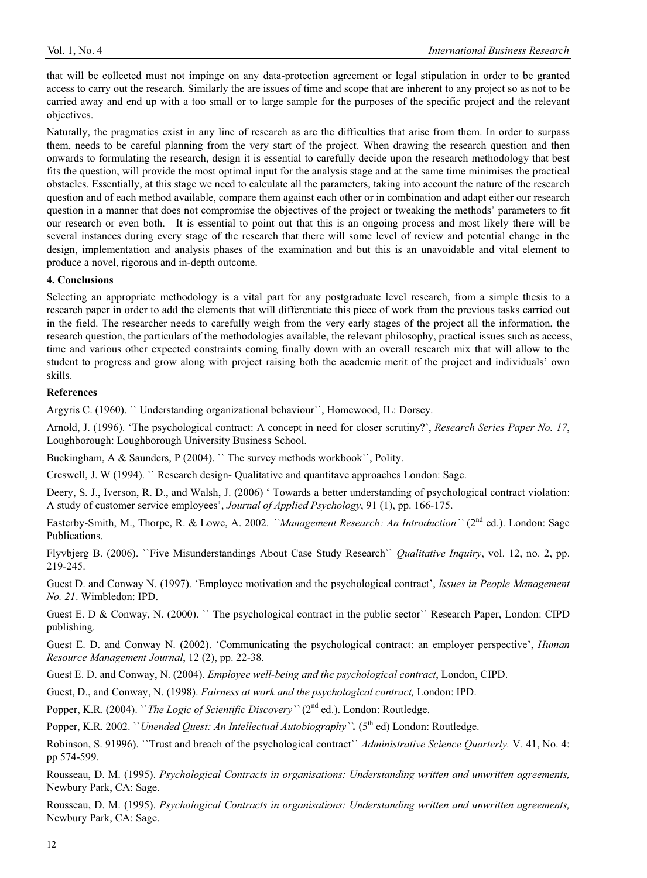that will be collected must not impinge on any data-protection agreement or legal stipulation in order to be granted access to carry out the research. Similarly the are issues of time and scope that are inherent to any project so as not to be carried away and end up with a too small or to large sample for the purposes of the specific project and the relevant objectives.

Naturally, the pragmatics exist in any line of research as are the difficulties that arise from them. In order to surpass them, needs to be careful planning from the very start of the project. When drawing the research question and then onwards to formulating the research, design it is essential to carefully decide upon the research methodology that best fits the question, will provide the most optimal input for the analysis stage and at the same time minimises the practical obstacles. Essentially, at this stage we need to calculate all the parameters, taking into account the nature of the research question and of each method available, compare them against each other or in combination and adapt either our research question in a manner that does not compromise the objectives of the project or tweaking the methods' parameters to fit our research or even both. It is essential to point out that this is an ongoing process and most likely there will be several instances during every stage of the research that there will some level of review and potential change in the design, implementation and analysis phases of the examination and but this is an unavoidable and vital element to produce a novel, rigorous and in-depth outcome.

#### **4. Conclusions**

Selecting an appropriate methodology is a vital part for any postgraduate level research, from a simple thesis to a research paper in order to add the elements that will differentiate this piece of work from the previous tasks carried out in the field. The researcher needs to carefully weigh from the very early stages of the project all the information, the research question, the particulars of the methodologies available, the relevant philosophy, practical issues such as access, time and various other expected constraints coming finally down with an overall research mix that will allow to the student to progress and grow along with project raising both the academic merit of the project and individuals' own skills.

#### **References**

Argyris C. (1960). `` Understanding organizational behaviour``, Homewood, IL: Dorsey.

Arnold, J. (1996). 'The psychological contract: A concept in need for closer scrutiny?', *Research Series Paper No. 17*, Loughborough: Loughborough University Business School.

Buckingham, A & Saunders, P (2004). `` The survey methods workbook``, Polity.

Creswell, J. W (1994). `` Research design- Qualitative and quantitave approaches London: Sage.

Deery, S. J., Iverson, R. D., and Walsh, J. (2006) ' Towards a better understanding of psychological contract violation: A study of customer service employees', *Journal of Applied Psychology*, 91 (1), pp. 166-175.

Easterby-Smith, M., Thorpe, R. & Lowe, A. 2002. *``Management Research: An Introduction* `` (2<sup>nd</sup> ed.). London: Sage Publications.

Flyvbjerg B. (2006). ``Five Misunderstandings About Case Study Research`` *Qualitative Inquiry*, vol. 12, no. 2, pp. 219-245.

Guest D. and Conway N. (1997). 'Employee motivation and the psychological contract', *Issues in People Management No. 21*. Wimbledon: IPD.

Guest E. D & Conway, N. (2000). `` The psychological contract in the public sector`` Research Paper, London: CIPD publishing.

Guest E. D. and Conway N. (2002). 'Communicating the psychological contract: an employer perspective', *Human Resource Management Journal*, 12 (2), pp. 22-38.

Guest E. D. and Conway, N. (2004). *Employee well-being and the psychological contract*, London, CIPD.

Guest, D., and Conway, N. (1998). *Fairness at work and the psychological contract,* London: IPD.

Popper, K.R. (2004). *``The Logic of Scientific Discovery*' `(2<sup>nd</sup> ed.). London: Routledge.

Popper, K.R. 2002. ``*Unended Quest: An Intellectual Autobiography* `` (5<sup>th</sup> ed) London: Routledge.

Robinson, S. 91996). ``Trust and breach of the psychological contract`` *Administrative Science Quarterly.* V. 41, No. 4: pp 574-599.

Rousseau, D. M. (1995). *Psychological Contracts in organisations: Understanding written and unwritten agreements,* Newbury Park, CA: Sage.

Rousseau, D. M. (1995). *Psychological Contracts in organisations: Understanding written and unwritten agreements,* Newbury Park, CA: Sage.